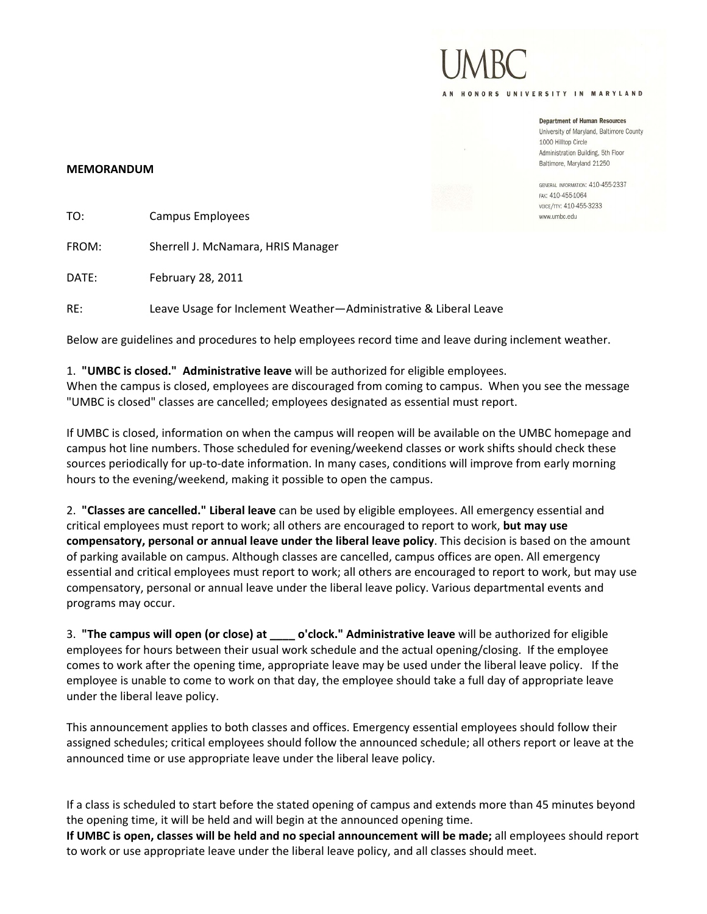AN HONORS UNIVERSITY IN MARYLAND

**Department of Human Resources** University of Maryland, Baltimore County 1000 Hilltop Circle Administration Building, 5th Floor

GENERAL INFORMATION: 410-455-2337 FAX: 410-455-1064 VOICE/TTY: 410-455-3233 www.umbc.edu

Baltimore, Maryland 21250

## **MEMORANDUM**

| TO:   | Campus Employees                   |  |
|-------|------------------------------------|--|
| FROM: | Sherrell J. McNamara, HRIS Manager |  |
| DATE: | February 28, 2011                  |  |

RE: Leave Usage for Inclement Weather—Administrative & Liberal Leave

Below are guidelines and procedures to help employees record time and leave during inclement weather.

## 1. **"UMBC is closed." Administrative leave** will be authorized for eligible employees.

When the campus is closed, employees are discouraged from coming to campus. When you see the message "UMBC is closed" classes are cancelled; employees designated as essential must report.

If UMBC is closed, information on when the campus will reopen will be available on the UMBC homepage and campus hot line numbers. Those scheduled for evening/weekend classes or work shifts should check these sources periodically for up-to-date information. In many cases, conditions will improve from early morning hours to the evening/weekend, making it possible to open the campus.

2. **"Classes are cancelled." Liberal leave** can be used by eligible employees. All emergency essential and critical employees must report to work; all others are encouraged to report to work, **but may use compensatory, personal or annual leave under the liberal leave policy**. This decision is based on the amount of parking available on campus. Although classes are cancelled, campus offices are open. All emergency essential and critical employees must report to work; all others are encouraged to report to work, but may use compensatory, personal or annual leave under the liberal leave policy. Various departmental events and programs may occur.

3. **"The campus will open (or close) at \_\_\_\_ o'clock." Administrative leave** will be authorized for eligible employees for hours between their usual work schedule and the actual opening/closing. If the employee comes to work after the opening time, appropriate leave may be used under the liberal leave policy. If the employee is unable to come to work on that day, the employee should take a full day of appropriate leave under the liberal leave policy.

This announcement applies to both classes and offices. Emergency essential employees should follow their assigned schedules; critical employees should follow the announced schedule; all others report or leave at the announced time or use appropriate leave under the liberal leave policy.

If a class is scheduled to start before the stated opening of campus and extends more than 45 minutes beyond the opening time, it will be held and will begin at the announced opening time.

**If UMBC is open, classes will be held and no special announcement will be made;** all employees should report to work or use appropriate leave under the liberal leave policy, and all classes should meet.